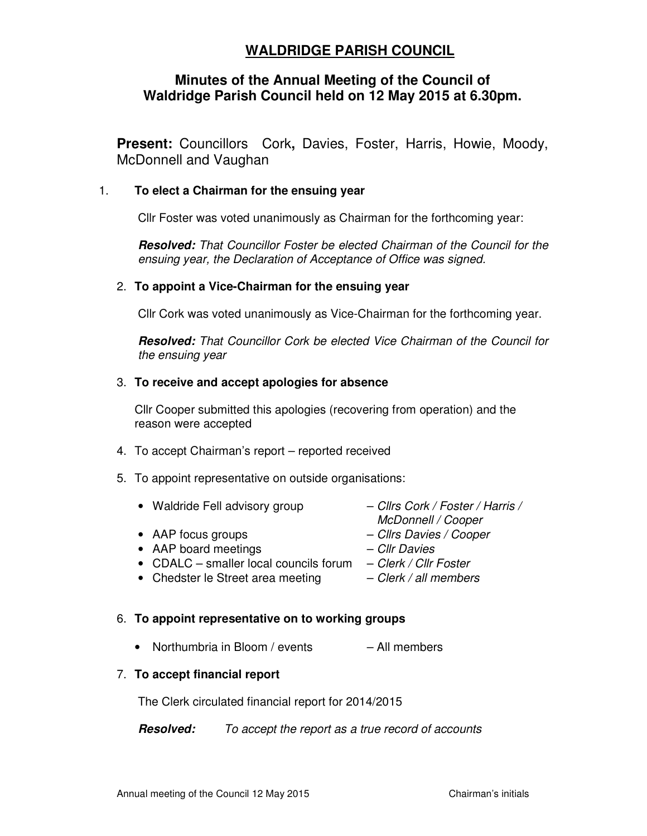# **WALDRIDGE PARISH COUNCIL**

## **Minutes of the Annual Meeting of the Council of Waldridge Parish Council held on 12 May 2015 at 6.30pm.**

**Present:** Councillors Cork**,** Davies, Foster, Harris, Howie, Moody, McDonnell and Vaughan

### 1. **To elect a Chairman for the ensuing year**

Cllr Foster was voted unanimously as Chairman for the forthcoming year:

**Resolved:** That Councillor Foster be elected Chairman of the Council for the ensuing year, the Declaration of Acceptance of Office was signed.

#### 2. **To appoint a Vice-Chairman for the ensuing year**

Cllr Cork was voted unanimously as Vice-Chairman for the forthcoming year.

**Resolved:** That Councillor Cork be elected Vice Chairman of the Council for the ensuing year

#### 3. **To receive and accept apologies for absence**

Cllr Cooper submitted this apologies (recovering from operation) and the reason were accepted

- 4. To accept Chairman's report reported received
- 5. To appoint representative on outside organisations:
	- Waldride Fell advisory group Cllrs Cork / Foster / Harris /<br>McDonnell / Cooper
	- AAP focus groups Clirs Davies / Cooper
	- McDonnell / Cooper
		-
	- AAP board meetings Cllr Davies
		-
	- CDALC smaller local councils forum  $-$  Clerk / Cllr Foster
	- Chedster le Street area meeting  $-$  Clerk / all members

#### 6. **To appoint representative on to working groups**

• Northumbria in Bloom / events – All members

#### 7. **To accept financial report**

The Clerk circulated financial report for 2014/2015

**Resolved:** To accept the report as a true record of accounts